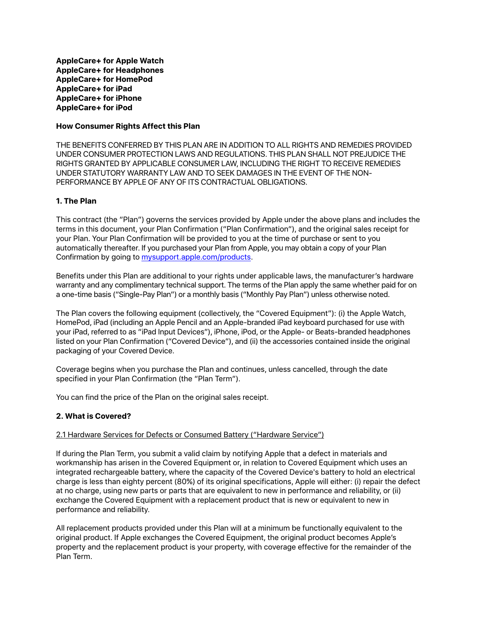**AppleCare+ for Apple Watch AppleCare+ for Headphones AppleCare+ for HomePod AppleCare+ for iPad AppleCare+ for iPhone AppleCare+ for iPod**

### **How Consumer Rights Affect this Plan**

THE BENEFITS CONFERRED BY THIS PLAN ARE IN ADDITION TO ALL RIGHTS AND REMEDIES PROVIDED UNDER CONSUMER PROTECTION LAWS AND REGULATIONS. THIS PLAN SHALL NOT PREJUDICE THE RIGHTS GRANTED BY APPLICABLE CONSUMER LAW, INCLUDING THE RIGHT TO RECEIVE REMEDIES UNDER STATUTORY WARRANTY LAW AND TO SEEK DAMAGES IN THE EVENT OF THE NON-PERFORMANCE BY APPLE OF ANY OF ITS CONTRACTUAL OBLIGATIONS.

## **1. The Plan**

This contract (the "Plan") governs the services provided by Apple under the above plans and includes the terms in this document, your Plan Confirmation ("Plan Confirmation"), and the original sales receipt for your Plan. Your Plan Confirmation will be provided to you at the time of purchase or sent to you automatically thereafter. If you purchased your Plan from Apple, you may obtain a copy of your Plan Confirmation by going to [mysupport.apple.com/products.](http://mysupport.apple.com/products)

Benefits under this Plan are additional to your rights under applicable laws, the manufacturer's hardware warranty and any complimentary technical support. The terms of the Plan apply the same whether paid for on a one-time basis ("Single-Pay Plan") or a monthly basis ("Monthly Pay Plan") unless otherwise noted.

The Plan covers the following equipment (collectively, the "Covered Equipment"): (i) the Apple Watch, HomePod, iPad (including an Apple Pencil and an Apple-branded iPad keyboard purchased for use with your iPad, referred to as "iPad Input Devices"), iPhone, iPod, or the Apple- or Beats-branded headphones listed on your Plan Confirmation ("Covered Device"), and (ii) the accessories contained inside the original packaging of your Covered Device.

Coverage begins when you purchase the Plan and continues, unless cancelled, through the date specified in your Plan Confirmation (the "Plan Term").

You can find the price of the Plan on the original sales receipt.

# **2. What is Covered?**

### 2.1 Hardware Services for Defects or Consumed Battery ("Hardware Service")

If during the Plan Term, you submit a valid claim by notifying Apple that a defect in materials and workmanship has arisen in the Covered Equipment or, in relation to Covered Equipment which uses an integrated rechargeable battery, where the capacity of the Covered Device's battery to hold an electrical charge is less than eighty percent (80%) of its original specifications, Apple will either: (i) repair the defect at no charge, using new parts or parts that are equivalent to new in performance and reliability, or (ii) exchange the Covered Equipment with a replacement product that is new or equivalent to new in performance and reliability.

All replacement products provided under this Plan will at a minimum be functionally equivalent to the original product. If Apple exchanges the Covered Equipment, the original product becomes Apple's property and the replacement product is your property, with coverage effective for the remainder of the Plan Term.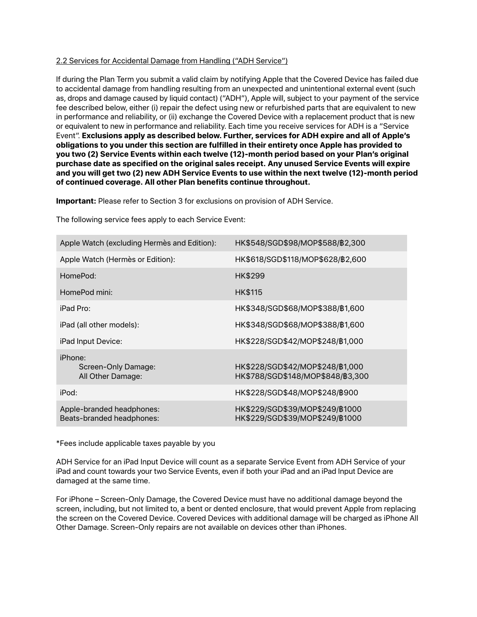## 2.2 Services for Accidental Damage from Handling ("ADH Service")

If during the Plan Term you submit a valid claim by notifying Apple that the Covered Device has failed due to accidental damage from handling resulting from an unexpected and unintentional external event (such as, drops and damage caused by liquid contact) ("ADH"), Apple will, subject to your payment of the service fee described below, either (i) repair the defect using new or refurbished parts that are equivalent to new in performance and reliability, or (ii) exchange the Covered Device with a replacement product that is new or equivalent to new in performance and reliability. Each time you receive services for ADH is a "Service Event". **Exclusions apply as described below. Further, services for ADH expire and all of Apple's obligations to you under this section are fulfilled in their entirety once Apple has provided to you two (2) Service Events within each twelve (12)-month period based on your Plan's original purchase date as specified on the original sales receipt. Any unused Service Events will expire and you will get two (2) new ADH Service Events to use within the next twelve (12)-month period of continued coverage. All other Plan benefits continue throughout.**

**Important:** Please refer to Section 3 for exclusions on provision of ADH Service.

The following service fees apply to each Service Event:

| Apple Watch (excluding Hermès and Edition):            | HK\$548/SGD\$98/MOP\$588/B2,300                                     |
|--------------------------------------------------------|---------------------------------------------------------------------|
| Apple Watch (Hermès or Edition):                       | HK\$618/SGD\$118/MOP\$628/B2,600                                    |
| HomePod:                                               | HK\$299                                                             |
| HomePod mini:                                          | <b>HK\$115</b>                                                      |
| iPad Pro:                                              | HK\$348/SGD\$68/MOP\$388/B1,600                                     |
| iPad (all other models):                               | HK\$348/SGD\$68/MOP\$388/B1,600                                     |
| iPad Input Device:                                     | HK\$228/SGD\$42/MOP\$248/B1,000                                     |
| iPhone:<br>Screen-Only Damage:<br>All Other Damage:    | HK\$228/SGD\$42/MOP\$248/B1,000<br>HK\$788/SGD\$148/MOP\$848/B3,300 |
| iPod:                                                  | HK\$228/SGD\$48/MOP\$248/B900                                       |
| Apple-branded headphones:<br>Beats-branded headphones: | HK\$229/SGD\$39/MOP\$249/B1000<br>HK\$229/SGD\$39/MOP\$249/B1000    |

\*Fees include applicable taxes payable by you

ADH Service for an iPad Input Device will count as a separate Service Event from ADH Service of your iPad and count towards your two Service Events, even if both your iPad and an iPad Input Device are damaged at the same time.

For iPhone – Screen-Only Damage, the Covered Device must have no additional damage beyond the screen, including, but not limited to, a bent or dented enclosure, that would prevent Apple from replacing the screen on the Covered Device. Covered Devices with additional damage will be charged as iPhone All Other Damage. Screen-Only repairs are not available on devices other than iPhones.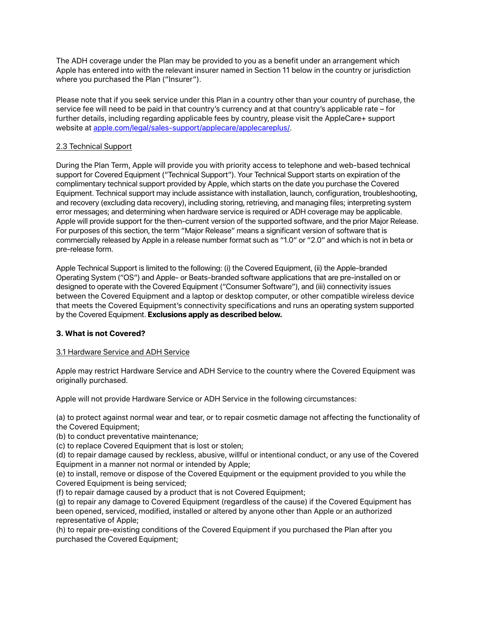The ADH coverage under the Plan may be provided to you as a benefit under an arrangement which Apple has entered into with the relevant insurer named in Section 11 below in the country or jurisdiction where you purchased the Plan ("Insurer").

Please note that if you seek service under this Plan in a country other than your country of purchase, the service fee will need to be paid in that country's currency and at that country's applicable rate – for further details, including regarding applicable fees by country, please visit the AppleCare+ support website at [apple.com/legal/sales-support/applecare/applecareplus/.](http://www.apple.com/legal/sales-support/applecare/applecareplus/)

# 2.3 Technical Support

During the Plan Term, Apple will provide you with priority access to telephone and web-based technical support for Covered Equipment ("Technical Support"). Your Technical Support starts on expiration of the complimentary technical support provided by Apple, which starts on the date you purchase the Covered Equipment. Technical support may include assistance with installation, launch, configuration, troubleshooting, and recovery (excluding data recovery), including storing, retrieving, and managing files; interpreting system error messages; and determining when hardware service is required or ADH coverage may be applicable. Apple will provide support for the then-current version of the supported software, and the prior Major Release. For purposes of this section, the term "Major Release" means a significant version of software that is commercially released by Apple in a release number format such as "1.0" or "2.0" and which is not in beta or pre-release form.

Apple Technical Support is limited to the following: (i) the Covered Equipment, (ii) the Apple-branded Operating System ("OS") and Apple- or Beats-branded software applications that are pre-installed on or designed to operate with the Covered Equipment ("Consumer Software"), and (iii) connectivity issues between the Covered Equipment and a laptop or desktop computer, or other compatible wireless device that meets the Covered Equipment's connectivity specifications and runs an operating system supported by the Covered Equipment. **Exclusions apply as described below.**

### **3. What is not Covered?**

# 3.1 Hardware Service and ADH Service

Apple may restrict Hardware Service and ADH Service to the country where the Covered Equipment was originally purchased.

Apple will not provide Hardware Service or ADH Service in the following circumstances:

(a) to protect against normal wear and tear, or to repair cosmetic damage not affecting the functionality of the Covered Equipment;

(b) to conduct preventative maintenance;

(c) to replace Covered Equipment that is lost or stolen;

(d) to repair damage caused by reckless, abusive, willful or intentional conduct, or any use of the Covered Equipment in a manner not normal or intended by Apple;

(e) to install, remove or dispose of the Covered Equipment or the equipment provided to you while the Covered Equipment is being serviced;

(f) to repair damage caused by a product that is not Covered Equipment;

(g) to repair any damage to Covered Equipment (regardless of the cause) if the Covered Equipment has been opened, serviced, modified, installed or altered by anyone other than Apple or an authorized representative of Apple;

(h) to repair pre-existing conditions of the Covered Equipment if you purchased the Plan after you purchased the Covered Equipment;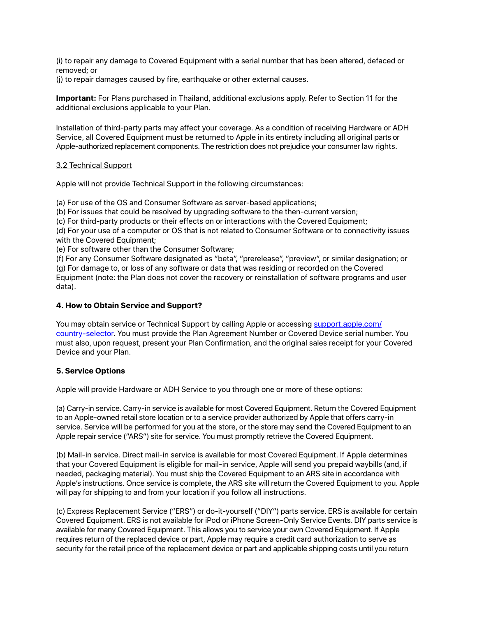(i) to repair any damage to Covered Equipment with a serial number that has been altered, defaced or removed; or

(j) to repair damages caused by fire, earthquake or other external causes.

**Important:** For Plans purchased in Thailand, additional exclusions apply. Refer to Section 11 for the additional exclusions applicable to your Plan.

Installation of third-party parts may affect your coverage. As a condition of receiving Hardware or ADH Service, all Covered Equipment must be returned to Apple in its entirety including all original parts or Apple-authorized replacement components. The restriction does not prejudice your consumer law rights.

## 3.2 Technical Support

Apple will not provide Technical Support in the following circumstances:

(a) For use of the OS and Consumer Software as server-based applications;

(b) For issues that could be resolved by upgrading software to the then-current version;

(c) For third-party products or their effects on or interactions with the Covered Equipment;

(d) For your use of a computer or OS that is not related to Consumer Software or to connectivity issues with the Covered Equipment;

(e) For software other than the Consumer Software;

(f) For any Consumer Software designated as "beta", "prerelease", "preview", or similar designation; or (g) For damage to, or loss of any software or data that was residing or recorded on the Covered Equipment (note: the Plan does not cover the recovery or reinstallation of software programs and user data).

### **4. How to Obtain Service and Support?**

You may obtain service or Technical Support by calling Apple or accessing [support.apple.com/](http://support.apple.com/country-selector) [country-selector.](http://support.apple.com/country-selector) You must provide the Plan Agreement Number or Covered Device serial number. You must also, upon request, present your Plan Confirmation, and the original sales receipt for your Covered Device and your Plan.

# **5. Service Options**

Apple will provide Hardware or ADH Service to you through one or more of these options:

(a) Carry-in service. Carry-in service is available for most Covered Equipment. Return the Covered Equipment to an Apple-owned retail store location or to a service provider authorized by Apple that offers carry-in service. Service will be performed for you at the store, or the store may send the Covered Equipment to an Apple repair service ("ARS") site for service. You must promptly retrieve the Covered Equipment.

(b) Mail-in service. Direct mail-in service is available for most Covered Equipment. If Apple determines that your Covered Equipment is eligible for mail-in service, Apple will send you prepaid waybills (and, if needed, packaging material). You must ship the Covered Equipment to an ARS site in accordance with Apple's instructions. Once service is complete, the ARS site will return the Covered Equipment to you. Apple will pay for shipping to and from your location if you follow all instructions.

(c) Express Replacement Service ("ERS") or do-it-yourself ("DIY") parts service. ERS is available for certain Covered Equipment. ERS is not available for iPod or iPhone Screen-Only Service Events. DIY parts service is available for many Covered Equipment. This allows you to service your own Covered Equipment. If Apple requires return of the replaced device or part, Apple may require a credit card authorization to serve as security for the retail price of the replacement device or part and applicable shipping costs until you return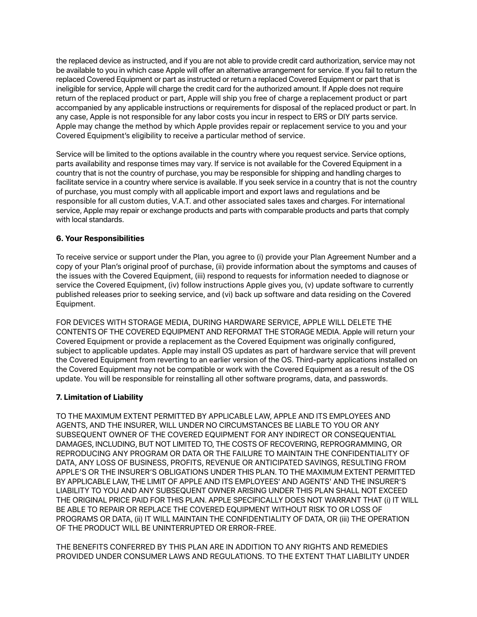the replaced device as instructed, and if you are not able to provide credit card authorization, service may not be available to you in which case Apple will offer an alternative arrangement for service. If you fail to return the replaced Covered Equipment or part as instructed or return a replaced Covered Equipment or part that is ineligible for service, Apple will charge the credit card for the authorized amount. If Apple does not require return of the replaced product or part, Apple will ship you free of charge a replacement product or part accompanied by any applicable instructions or requirements for disposal of the replaced product or part. In any case, Apple is not responsible for any labor costs you incur in respect to ERS or DIY parts service. Apple may change the method by which Apple provides repair or replacement service to you and your Covered Equipment's eligibility to receive a particular method of service.

Service will be limited to the options available in the country where you request service. Service options, parts availability and response times may vary. If service is not available for the Covered Equipment in a country that is not the country of purchase, you may be responsible for shipping and handling charges to facilitate service in a country where service is available. If you seek service in a country that is not the country of purchase, you must comply with all applicable import and export laws and regulations and be responsible for all custom duties, V.A.T. and other associated sales taxes and charges. For international service, Apple may repair or exchange products and parts with comparable products and parts that comply with local standards.

# **6. Your Responsibilities**

To receive service or support under the Plan, you agree to (i) provide your Plan Agreement Number and a copy of your Plan's original proof of purchase, (ii) provide information about the symptoms and causes of the issues with the Covered Equipment, (iii) respond to requests for information needed to diagnose or service the Covered Equipment, (iv) follow instructions Apple gives you, (v) update software to currently published releases prior to seeking service, and (vi) back up software and data residing on the Covered Equipment.

FOR DEVICES WITH STORAGE MEDIA, DURING HARDWARE SERVICE, APPLE WILL DELETE THE CONTENTS OF THE COVERED EQUIPMENT AND REFORMAT THE STORAGE MEDIA. Apple will return your Covered Equipment or provide a replacement as the Covered Equipment was originally configured, subject to applicable updates. Apple may install OS updates as part of hardware service that will prevent the Covered Equipment from reverting to an earlier version of the OS. Third-party applications installed on the Covered Equipment may not be compatible or work with the Covered Equipment as a result of the OS update. You will be responsible for reinstalling all other software programs, data, and passwords.

# **7. Limitation of Liability**

TO THE MAXIMUM EXTENT PERMITTED BY APPLICABLE LAW, APPLE AND ITS EMPLOYEES AND AGENTS, AND THE INSURER, WILL UNDER NO CIRCUMSTANCES BE LIABLE TO YOU OR ANY SUBSEQUENT OWNER OF THE COVERED EQUIPMENT FOR ANY INDIRECT OR CONSEQUENTIAL DAMAGES, INCLUDING, BUT NOT LIMITED TO, THE COSTS OF RECOVERING, REPROGRAMMING, OR REPRODUCING ANY PROGRAM OR DATA OR THE FAILURE TO MAINTAIN THE CONFIDENTIALITY OF DATA, ANY LOSS OF BUSINESS, PROFITS, REVENUE OR ANTICIPATED SAVINGS, RESULTING FROM APPLE'S OR THE INSURER'S OBLIGATIONS UNDER THIS PLAN. TO THE MAXIMUM EXTENT PERMITTED BY APPLICABLE LAW, THE LIMIT OF APPLE AND ITS EMPLOYEES' AND AGENTS' AND THE INSURER'S LIABILITY TO YOU AND ANY SUBSEQUENT OWNER ARISING UNDER THIS PLAN SHALL NOT EXCEED THE ORIGINAL PRICE PAID FOR THIS PLAN. APPLE SPECIFICALLY DOES NOT WARRANT THAT (i) IT WILL BE ABLE TO REPAIR OR REPLACE THE COVERED EQUIPMENT WITHOUT RISK TO OR LOSS OF PROGRAMS OR DATA, (ii) IT WILL MAINTAIN THE CONFIDENTIALITY OF DATA, OR (iii) THE OPERATION OF THE PRODUCT WILL BE UNINTERRUPTED OR ERROR-FREE.

THE BENEFITS CONFERRED BY THIS PLAN ARE IN ADDITION TO ANY RIGHTS AND REMEDIES PROVIDED UNDER CONSUMER LAWS AND REGULATIONS. TO THE EXTENT THAT LIABILITY UNDER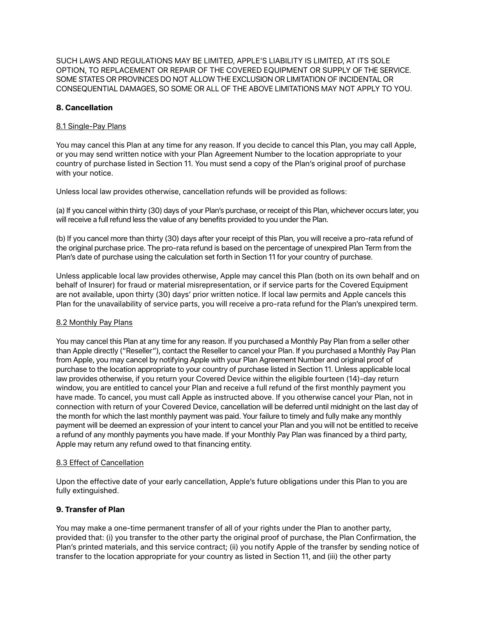SUCH LAWS AND REGULATIONS MAY BE LIMITED, APPLE'S LIABILITY IS LIMITED, AT ITS SOLE OPTION, TO REPLACEMENT OR REPAIR OF THE COVERED EQUIPMENT OR SUPPLY OF THE SERVICE. SOME STATES OR PROVINCES DO NOT ALLOW THE EXCLUSION OR LIMITATION OF INCIDENTAL OR CONSEQUENTIAL DAMAGES, SO SOME OR ALL OF THE ABOVE LIMITATIONS MAY NOT APPLY TO YOU.

# **8. Cancellation**

# 8.1 Single-Pay Plans

You may cancel this Plan at any time for any reason. If you decide to cancel this Plan, you may call Apple, or you may send written notice with your Plan Agreement Number to the location appropriate to your country of purchase listed in Section 11. You must send a copy of the Plan's original proof of purchase with your notice.

Unless local law provides otherwise, cancellation refunds will be provided as follows:

(a) If you cancel within thirty (30) days of your Plan's purchase, or receipt of this Plan, whichever occurs later, you will receive a full refund less the value of any benefits provided to you under the Plan.

(b) If you cancel more than thirty (30) days after your receipt of this Plan, you will receive a pro-rata refund of the original purchase price. The pro-rata refund is based on the percentage of unexpired Plan Term from the Plan's date of purchase using the calculation set forth in Section 11 for your country of purchase.

Unless applicable local law provides otherwise, Apple may cancel this Plan (both on its own behalf and on behalf of Insurer) for fraud or material misrepresentation, or if service parts for the Covered Equipment are not available, upon thirty (30) days' prior written notice. If local law permits and Apple cancels this Plan for the unavailability of service parts, you will receive a pro-rata refund for the Plan's unexpired term.

# 8.2 Monthly Pay Plans

You may cancel this Plan at any time for any reason. If you purchased a Monthly Pay Plan from a seller other than Apple directly ("Reseller"), contact the Reseller to cancel your Plan. If you purchased a Monthly Pay Plan from Apple, you may cancel by notifying Apple with your Plan Agreement Number and original proof of purchase to the location appropriate to your country of purchase listed in Section 11. Unless applicable local law provides otherwise, if you return your Covered Device within the eligible fourteen (14)-day return window, you are entitled to cancel your Plan and receive a full refund of the first monthly payment you have made. To cancel, you must call Apple as instructed above. If you otherwise cancel your Plan, not in connection with return of your Covered Device, cancellation will be deferred until midnight on the last day of the month for which the last monthly payment was paid. Your failure to timely and fully make any monthly payment will be deemed an expression of your intent to cancel your Plan and you will not be entitled to receive a refund of any monthly payments you have made. If your Monthly Pay Plan was financed by a third party, Apple may return any refund owed to that financing entity.

### 8.3 Effect of Cancellation

Upon the effective date of your early cancellation, Apple's future obligations under this Plan to you are fully extinguished.

# **9. Transfer of Plan**

You may make a one-time permanent transfer of all of your rights under the Plan to another party, provided that: (i) you transfer to the other party the original proof of purchase, the Plan Confirmation, the Plan's printed materials, and this service contract; (ii) you notify Apple of the transfer by sending notice of transfer to the location appropriate for your country as listed in Section 11, and (iii) the other party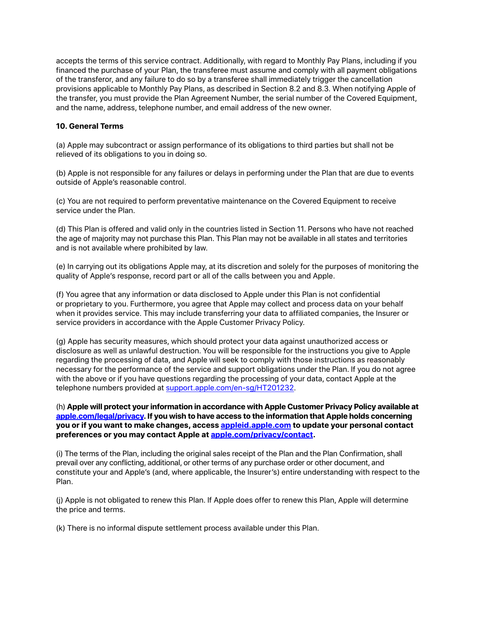accepts the terms of this service contract. Additionally, with regard to Monthly Pay Plans, including if you financed the purchase of your Plan, the transferee must assume and comply with all payment obligations of the transferor, and any failure to do so by a transferee shall immediately trigger the cancellation provisions applicable to Monthly Pay Plans, as described in Section 8.2 and 8.3. When notifying Apple of the transfer, you must provide the Plan Agreement Number, the serial number of the Covered Equipment, and the name, address, telephone number, and email address of the new owner.

## **10. General Terms**

(a) Apple may subcontract or assign performance of its obligations to third parties but shall not be relieved of its obligations to you in doing so.

(b) Apple is not responsible for any failures or delays in performing under the Plan that are due to events outside of Apple's reasonable control.

(c) You are not required to perform preventative maintenance on the Covered Equipment to receive service under the Plan.

(d) This Plan is offered and valid only in the countries listed in Section 11. Persons who have not reached the age of majority may not purchase this Plan. This Plan may not be available in all states and territories and is not available where prohibited by law.

(e) In carrying out its obligations Apple may, at its discretion and solely for the purposes of monitoring the quality of Apple's response, record part or all of the calls between you and Apple.

(f) You agree that any information or data disclosed to Apple under this Plan is not confidential or proprietary to you. Furthermore, you agree that Apple may collect and process data on your behalf when it provides service. This may include transferring your data to affiliated companies, the Insurer or service providers in accordance with the Apple Customer Privacy Policy.

(g) Apple has security measures, which should protect your data against unauthorized access or disclosure as well as unlawful destruction. You will be responsible for the instructions you give to Apple regarding the processing of data, and Apple will seek to comply with those instructions as reasonably necessary for the performance of the service and support obligations under the Plan. If you do not agree with the above or if you have questions regarding the processing of your data, contact Apple at the telephone numbers provided at [support.apple.com/en-sg/HT201232.](https://support.apple.com/en-sg/HT201232)

(h) **Apple will protect your information in accordance with Apple Customer Privacy Policy available at [apple.com/legal/privacy.](http://www.apple.com/legal/privacy/) If you wish to have access to the information that Apple holds concerning you or if you want to make changes, access [appleid.apple.com](https://appleid.apple.com/) to update your personal contact preferences or you may contact Apple at [apple.com/privacy/contact](http://www.apple.com/privacy/contact).**

(i) The terms of the Plan, including the original sales receipt of the Plan and the Plan Confirmation, shall prevail over any conflicting, additional, or other terms of any purchase order or other document, and constitute your and Apple's (and, where applicable, the Insurer's) entire understanding with respect to the Plan.

(j) Apple is not obligated to renew this Plan. If Apple does offer to renew this Plan, Apple will determine the price and terms.

(k) There is no informal dispute settlement process available under this Plan.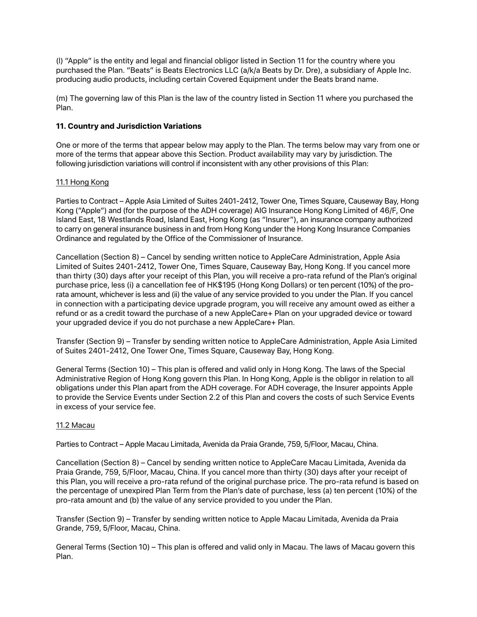(l) "Apple" is the entity and legal and financial obligor listed in Section 11 for the country where you purchased the Plan. "Beats" is Beats Electronics LLC (a/k/a Beats by Dr. Dre), a subsidiary of Apple Inc. producing audio products, including certain Covered Equipment under the Beats brand name.

(m) The governing law of this Plan is the law of the country listed in Section 11 where you purchased the Plan.

# **11. Country and Jurisdiction Variations**

One or more of the terms that appear below may apply to the Plan. The terms below may vary from one or more of the terms that appear above this Section. Product availability may vary by jurisdiction. The following jurisdiction variations will control if inconsistent with any other provisions of this Plan:

## 11.1 Hong Kong

Parties to Contract – Apple Asia Limited of Suites 2401-2412, Tower One, Times Square, Causeway Bay, Hong Kong ("Apple") and (for the purpose of the ADH coverage) AIG Insurance Hong Kong Limited of 46/F, One Island East, 18 Westlands Road, Island East, Hong Kong (as "Insurer"), an insurance company authorized to carry on general insurance business in and from Hong Kong under the Hong Kong Insurance Companies Ordinance and regulated by the Office of the Commissioner of Insurance.

Cancellation (Section 8) – Cancel by sending written notice to AppleCare Administration, Apple Asia Limited of Suites 2401-2412, Tower One, Times Square, Causeway Bay, Hong Kong. If you cancel more than thirty (30) days after your receipt of this Plan, you will receive a pro-rata refund of the Plan's original purchase price, less (i) a cancellation fee of HK\$195 (Hong Kong Dollars) or ten percent (10%) of the prorata amount, whichever is less and (ii) the value of any service provided to you under the Plan. If you cancel in connection with a participating device upgrade program, you will receive any amount owed as either a refund or as a credit toward the purchase of a new AppleCare+ Plan on your upgraded device or toward your upgraded device if you do not purchase a new AppleCare+ Plan.

Transfer (Section 9) – Transfer by sending written notice to AppleCare Administration, Apple Asia Limited of Suites 2401-2412, One Tower One, Times Square, Causeway Bay, Hong Kong.

General Terms (Section 10) – This plan is offered and valid only in Hong Kong. The laws of the Special Administrative Region of Hong Kong govern this Plan. In Hong Kong, Apple is the obligor in relation to all obligations under this Plan apart from the ADH coverage. For ADH coverage, the Insurer appoints Apple to provide the Service Events under Section 2.2 of this Plan and covers the costs of such Service Events in excess of your service fee.

### 11.2 Macau

Parties to Contract – Apple Macau Limitada, Avenida da Praia Grande, 759, 5/Floor, Macau, China.

Cancellation (Section 8) – Cancel by sending written notice to AppleCare Macau Limitada, Avenida da Praia Grande, 759, 5/Floor, Macau, China. If you cancel more than thirty (30) days after your receipt of this Plan, you will receive a pro-rata refund of the original purchase price. The pro-rata refund is based on the percentage of unexpired Plan Term from the Plan's date of purchase, less (a) ten percent (10%) of the pro-rata amount and (b) the value of any service provided to you under the Plan.

Transfer (Section 9) – Transfer by sending written notice to Apple Macau Limitada, Avenida da Praia Grande, 759, 5/Floor, Macau, China.

General Terms (Section 10) – This plan is offered and valid only in Macau. The laws of Macau govern this Plan.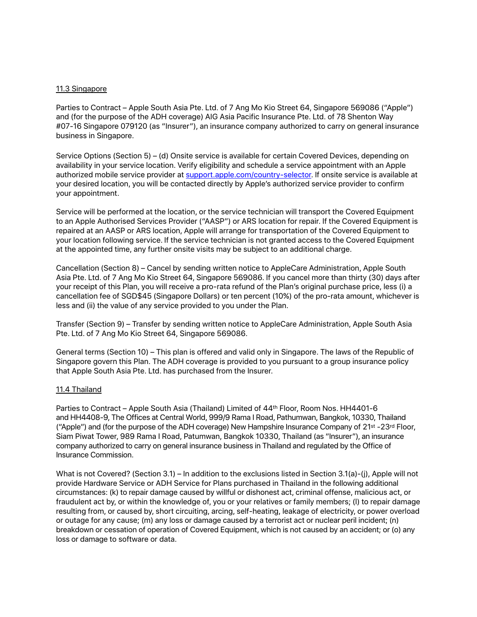#### 11.3 Singapore

Parties to Contract – Apple South Asia Pte. Ltd. of 7 Ang Mo Kio Street 64, Singapore 569086 ("Apple") and (for the purpose of the ADH coverage) AIG Asia Pacific Insurance Pte. Ltd. of 78 Shenton Way #07-16 Singapore 079120 (as "Insurer"), an insurance company authorized to carry on general insurance business in Singapore.

Service Options (Section 5) – (d) Onsite service is available for certain Covered Devices, depending on availability in your service location. Verify eligibility and schedule a service appointment with an Apple authorized mobile service provider at [support.apple.com/country-selector.](http://www.support.apple.com/country-selector) If onsite service is available at your desired location, you will be contacted directly by Apple's authorized service provider to confirm your appointment.

Service will be performed at the location, or the service technician will transport the Covered Equipment to an Apple Authorised Services Provider ("AASP") or ARS location for repair. If the Covered Equipment is repaired at an AASP or ARS location, Apple will arrange for transportation of the Covered Equipment to your location following service. If the service technician is not granted access to the Covered Equipment at the appointed time, any further onsite visits may be subject to an additional charge.

Cancellation (Section 8) – Cancel by sending written notice to AppleCare Administration, Apple South Asia Pte. Ltd. of 7 Ang Mo Kio Street 64, Singapore 569086. If you cancel more than thirty (30) days after your receipt of this Plan, you will receive a pro-rata refund of the Plan's original purchase price, less (i) a cancellation fee of SGD\$45 (Singapore Dollars) or ten percent (10%) of the pro-rata amount, whichever is less and (ii) the value of any service provided to you under the Plan.

Transfer (Section 9) – Transfer by sending written notice to AppleCare Administration, Apple South Asia Pte. Ltd. of 7 Ang Mo Kio Street 64, Singapore 569086.

General terms (Section 10) – This plan is offered and valid only in Singapore. The laws of the Republic of Singapore govern this Plan. The ADH coverage is provided to you pursuant to a group insurance policy that Apple South Asia Pte. Ltd. has purchased from the Insurer.

### 11.4 Thailand

Parties to Contract – Apple South Asia (Thailand) Limited of 44th Floor, Room Nos. HH4401-6 and HH4408-9, The Offices at Central World, 999/9 Rama I Road, Pathumwan, Bangkok, 10330, Thailand ("Apple") and (for the purpose of the ADH coverage) New Hampshire Insurance Company of 21st -23rd Floor, Siam Piwat Tower, 989 Rama I Road, Patumwan, Bangkok 10330, Thailand (as "Insurer"), an insurance company authorized to carry on general insurance business in Thailand and regulated by the Office of Insurance Commission.

What is not Covered? (Section 3.1) – In addition to the exclusions listed in Section 3.1(a)-(j), Apple will not provide Hardware Service or ADH Service for Plans purchased in Thailand in the following additional circumstances: (k) to repair damage caused by willful or dishonest act, criminal offense, malicious act, or fraudulent act by, or within the knowledge of, you or your relatives or family members; (l) to repair damage resulting from, or caused by, short circuiting, arcing, self-heating, leakage of electricity, or power overload or outage for any cause; (m) any loss or damage caused by a terrorist act or nuclear peril incident; (n) breakdown or cessation of operation of Covered Equipment, which is not caused by an accident; or (o) any loss or damage to software or data.